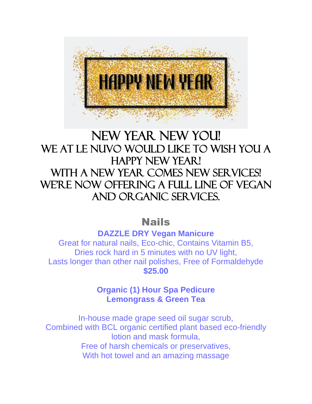

# NEW YEAR NEW YOU! WE AT LE NUVO WOULD LIKE TO WISH YOU A HAPPY NEW YEAR! With A NEW YEAR COMES NEW SERVICES! WE'RE NOW OFFERING A FULL LINE OF VEGAN AND ORGANIC SERVICES.

## Nails

**DAZZLE DRY Vegan Manicure**

Great for natural nails, Eco-chic, Contains Vitamin B5, Dries rock hard in 5 minutes with no UV light, Lasts longer than other nail polishes, Free of Formaldehyde **\$25.00**

> **Organic (1) Hour Spa Pedicure Lemongrass & Green Tea**

In-house made grape seed oil sugar scrub, Combined with BCL organic certified plant based eco-friendly lotion and mask formula, Free of harsh chemicals or preservatives, With hot towel and an amazing massage